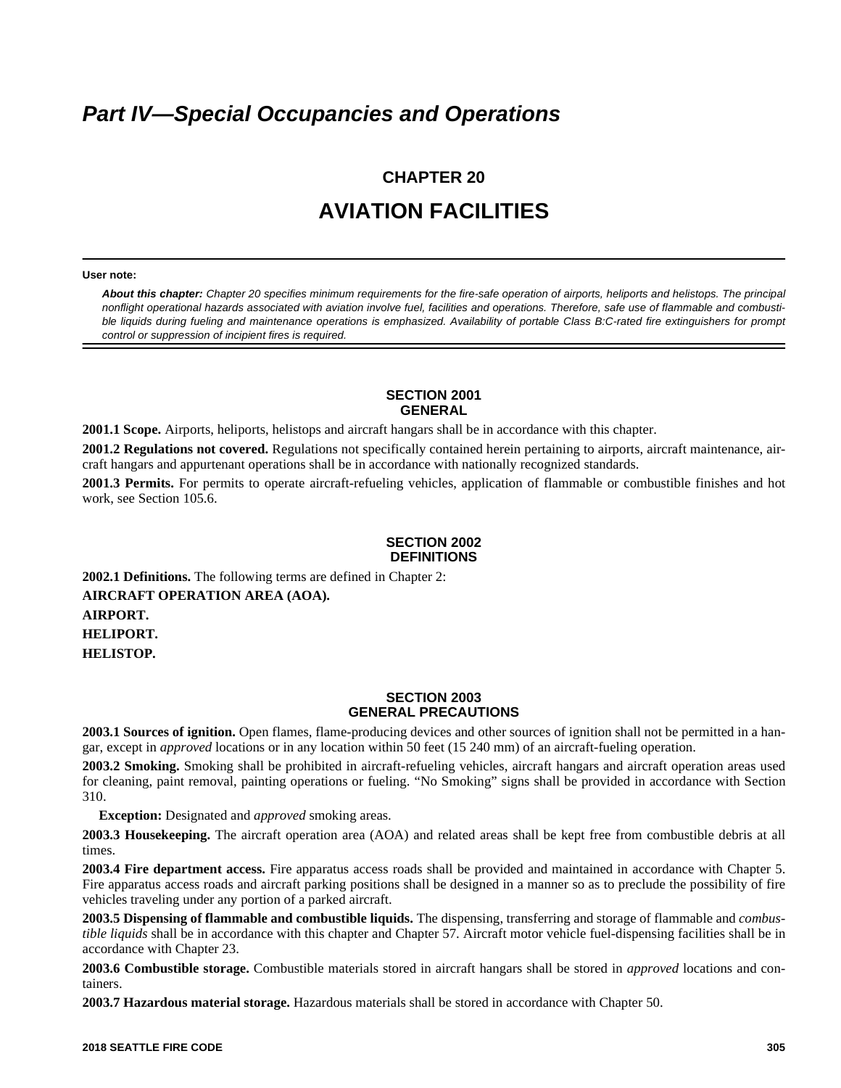## *Part IV—Special Occupancies and Operations*

# **CHAPTER 20 AVIATION FACILITIES**

#### **User note:**

*About this chapter: Chapter 20 specifies minimum requirements for the fire-safe operation of airports, heliports and helistops. The principal nonflight operational hazards associated with aviation involve fuel, facilities and operations. Therefore, safe use of flammable and combustible liquids during fueling and maintenance operations is emphasized. Availability of portable Class B:C-rated fire extinguishers for prompt control or suppression of incipient fires is required.*

#### **SECTION 2001 GENERAL**

**2001.1 Scope.** Airports, heliports, helistops and aircraft hangars shall be in accordance with this chapter.

**2001.2 Regulations not covered.** Regulations not specifically contained herein pertaining to airports, aircraft maintenance, aircraft hangars and appurtenant operations shall be in accordance with nationally recognized standards.

**2001.3 Permits.** For permits to operate aircraft-refueling vehicles, application of flammable or combustible finishes and hot work, see Section 105.6.

#### **SECTION 2002 DEFINITIONS**

**2002.1 Definitions.** The following terms are defined in Chapter 2: **AIRCRAFT OPERATION AREA (AOA). AIRPORT. HELIPORT. HELISTOP.**

#### **SECTION 2003 GENERAL PRECAUTIONS**

**2003.1 Sources of ignition.** Open flames, flame-producing devices and other sources of ignition shall not be permitted in a hangar, except in *approved* locations or in any location within 50 feet (15 240 mm) of an aircraft-fueling operation.

**2003.2 Smoking.** Smoking shall be prohibited in aircraft-refueling vehicles, aircraft hangars and aircraft operation areas used for cleaning, paint removal, painting operations or fueling. "No Smoking" signs shall be provided in accordance with Section 310.

**Exception:** Designated and *approved* smoking areas.

**2003.3 Housekeeping.** The aircraft operation area (AOA) and related areas shall be kept free from combustible debris at all times.

**2003.4 Fire department access.** Fire apparatus access roads shall be provided and maintained in accordance with Chapter 5. Fire apparatus access roads and aircraft parking positions shall be designed in a manner so as to preclude the possibility of fire vehicles traveling under any portion of a parked aircraft.

**2003.5 Dispensing of flammable and combustible liquids.** The dispensing, transferring and storage of flammable and *combustible liquids* shall be in accordance with this chapter and Chapter 57. Aircraft motor vehicle fuel-dispensing facilities shall be in accordance with Chapter 23.

**2003.6 Combustible storage.** Combustible materials stored in aircraft hangars shall be stored in *approved* locations and containers.

**2003.7 Hazardous material storage.** Hazardous materials shall be stored in accordance with Chapter 50.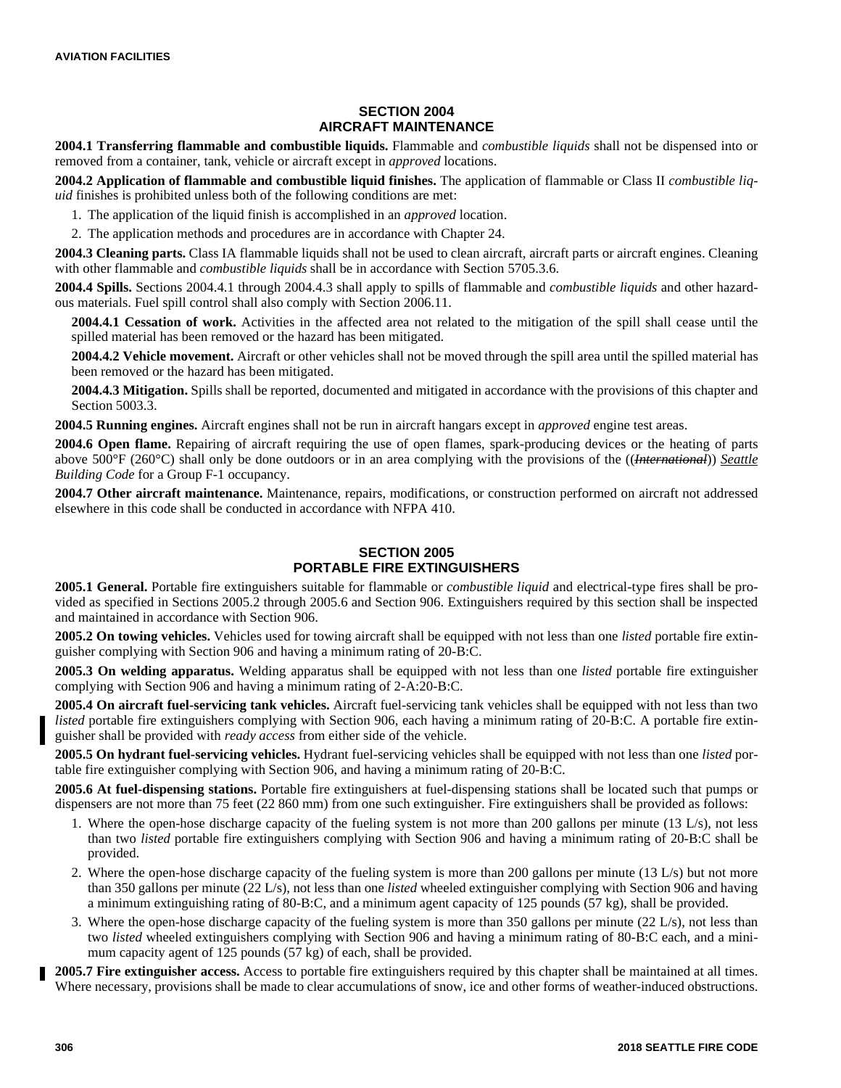## **SECTION 2004 AIRCRAFT MAINTENANCE**

**2004.1 Transferring flammable and combustible liquids.** Flammable and *combustible liquids* shall not be dispensed into or removed from a container, tank, vehicle or aircraft except in *approved* locations.

**2004.2 Application of flammable and combustible liquid finishes.** The application of flammable or Class II *combustible liquid* finishes is prohibited unless both of the following conditions are met:

1. The application of the liquid finish is accomplished in an *approved* location.

2. The application methods and procedures are in accordance with Chapter 24.

**2004.3 Cleaning parts.** Class IA flammable liquids shall not be used to clean aircraft, aircraft parts or aircraft engines. Cleaning with other flammable and *combustible liquids* shall be in accordance with Section 5705.3.6.

**2004.4 Spills.** Sections 2004.4.1 through 2004.4.3 shall apply to spills of flammable and *combustible liquids* and other hazardous materials. Fuel spill control shall also comply with Section 2006.11.

**2004.4.1 Cessation of work.** Activities in the affected area not related to the mitigation of the spill shall cease until the spilled material has been removed or the hazard has been mitigated.

**2004.4.2 Vehicle movement.** Aircraft or other vehicles shall not be moved through the spill area until the spilled material has been removed or the hazard has been mitigated.

**2004.4.3 Mitigation.** Spills shall be reported, documented and mitigated in accordance with the provisions of this chapter and Section 5003.3.

**2004.5 Running engines.** Aircraft engines shall not be run in aircraft hangars except in *approved* engine test areas.

**2004.6 Open flame.** Repairing of aircraft requiring the use of open flames, spark-producing devices or the heating of parts above 500°F (260°C) shall only be done outdoors or in an area complying with the provisions of the ((*International*)) *Seattle Building Code* for a Group F-1 occupancy.

**2004.7 Other aircraft maintenance.** Maintenance, repairs, modifications, or construction performed on aircraft not addressed elsewhere in this code shall be conducted in accordance with NFPA 410.

## **SECTION 2005 PORTABLE FIRE EXTINGUISHERS**

**2005.1 General.** Portable fire extinguishers suitable for flammable or *combustible liquid* and electrical-type fires shall be provided as specified in Sections 2005.2 through 2005.6 and Section 906. Extinguishers required by this section shall be inspected and maintained in accordance with Section 906.

**2005.2 On towing vehicles.** Vehicles used for towing aircraft shall be equipped with not less than one *listed* portable fire extinguisher complying with Section 906 and having a minimum rating of 20-B:C.

**2005.3 On welding apparatus.** Welding apparatus shall be equipped with not less than one *listed* portable fire extinguisher complying with Section 906 and having a minimum rating of 2-A:20-B:C.

**2005.4 On aircraft fuel-servicing tank vehicles.** Aircraft fuel-servicing tank vehicles shall be equipped with not less than two *listed* portable fire extinguishers complying with Section 906, each having a minimum rating of 20-B:C. A portable fire extinguisher shall be provided with *ready access* from either side of the vehicle.

**2005.5 On hydrant fuel-servicing vehicles.** Hydrant fuel-servicing vehicles shall be equipped with not less than one *listed* portable fire extinguisher complying with Section 906, and having a minimum rating of 20-B:C.

**2005.6 At fuel-dispensing stations.** Portable fire extinguishers at fuel-dispensing stations shall be located such that pumps or dispensers are not more than 75 feet (22 860 mm) from one such extinguisher. Fire extinguishers shall be provided as follows:

- 1. Where the open-hose discharge capacity of the fueling system is not more than 200 gallons per minute (13 L/s), not less than two *listed* portable fire extinguishers complying with Section 906 and having a minimum rating of 20-B:C shall be provided.
- 2. Where the open-hose discharge capacity of the fueling system is more than 200 gallons per minute (13 L/s) but not more than 350 gallons per minute (22 L/s), not less than one *listed* wheeled extinguisher complying with Section 906 and having a minimum extinguishing rating of 80-B:C, and a minimum agent capacity of 125 pounds (57 kg), shall be provided.
- 3. Where the open-hose discharge capacity of the fueling system is more than 350 gallons per minute (22 L/s), not less than two *listed* wheeled extinguishers complying with Section 906 and having a minimum rating of 80-B:C each, and a minimum capacity agent of 125 pounds (57 kg) of each, shall be provided.

**2005.7 Fire extinguisher access.** Access to portable fire extinguishers required by this chapter shall be maintained at all times. Where necessary, provisions shall be made to clear accumulations of snow, ice and other forms of weather-induced obstructions.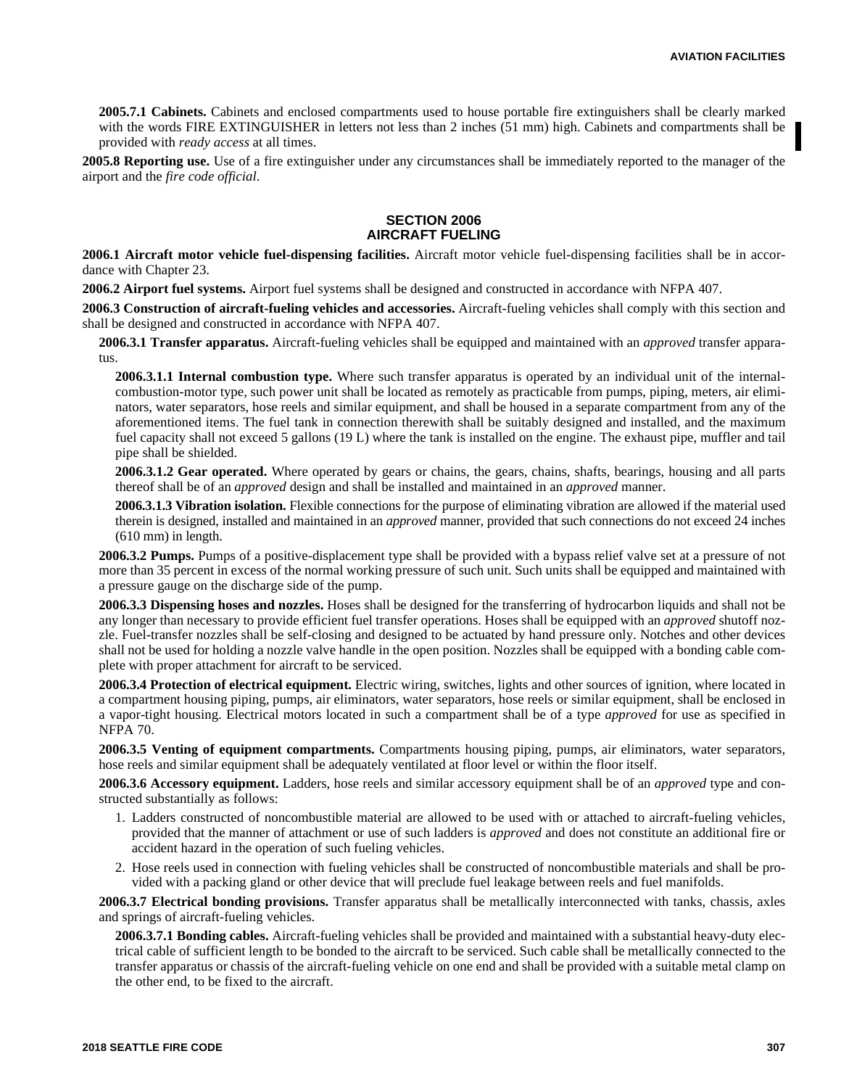**2005.7.1 Cabinets.** Cabinets and enclosed compartments used to house portable fire extinguishers shall be clearly marked with the words FIRE EXTINGUISHER in letters not less than 2 inches (51 mm) high. Cabinets and compartments shall be provided with *ready access* at all times.

**2005.8 Reporting use.** Use of a fire extinguisher under any circumstances shall be immediately reported to the manager of the airport and the *fire code official*.

### **SECTION 2006 AIRCRAFT FUELING**

**2006.1 Aircraft motor vehicle fuel-dispensing facilities.** Aircraft motor vehicle fuel-dispensing facilities shall be in accordance with Chapter 23.

**2006.2 Airport fuel systems.** Airport fuel systems shall be designed and constructed in accordance with NFPA 407.

**2006.3 Construction of aircraft-fueling vehicles and accessories.** Aircraft-fueling vehicles shall comply with this section and shall be designed and constructed in accordance with NFPA 407.

**2006.3.1 Transfer apparatus.** Aircraft-fueling vehicles shall be equipped and maintained with an *approved* transfer apparatus.

**2006.3.1.1 Internal combustion type.** Where such transfer apparatus is operated by an individual unit of the internalcombustion-motor type, such power unit shall be located as remotely as practicable from pumps, piping, meters, air eliminators, water separators, hose reels and similar equipment, and shall be housed in a separate compartment from any of the aforementioned items. The fuel tank in connection therewith shall be suitably designed and installed, and the maximum fuel capacity shall not exceed 5 gallons (19 L) where the tank is installed on the engine. The exhaust pipe, muffler and tail pipe shall be shielded.

**2006.3.1.2 Gear operated.** Where operated by gears or chains, the gears, chains, shafts, bearings, housing and all parts thereof shall be of an *approved* design and shall be installed and maintained in an *approved* manner.

**2006.3.1.3 Vibration isolation.** Flexible connections for the purpose of eliminating vibration are allowed if the material used therein is designed, installed and maintained in an *approved* manner, provided that such connections do not exceed 24 inches (610 mm) in length.

**2006.3.2 Pumps.** Pumps of a positive-displacement type shall be provided with a bypass relief valve set at a pressure of not more than 35 percent in excess of the normal working pressure of such unit. Such units shall be equipped and maintained with a pressure gauge on the discharge side of the pump.

**2006.3.3 Dispensing hoses and nozzles.** Hoses shall be designed for the transferring of hydrocarbon liquids and shall not be any longer than necessary to provide efficient fuel transfer operations. Hoses shall be equipped with an *approved* shutoff nozzle. Fuel-transfer nozzles shall be self-closing and designed to be actuated by hand pressure only. Notches and other devices shall not be used for holding a nozzle valve handle in the open position. Nozzles shall be equipped with a bonding cable complete with proper attachment for aircraft to be serviced.

**2006.3.4 Protection of electrical equipment.** Electric wiring, switches, lights and other sources of ignition, where located in a compartment housing piping, pumps, air eliminators, water separators, hose reels or similar equipment, shall be enclosed in a vapor-tight housing. Electrical motors located in such a compartment shall be of a type *approved* for use as specified in NFPA 70.

**2006.3.5 Venting of equipment compartments.** Compartments housing piping, pumps, air eliminators, water separators, hose reels and similar equipment shall be adequately ventilated at floor level or within the floor itself.

**2006.3.6 Accessory equipment.** Ladders, hose reels and similar accessory equipment shall be of an *approved* type and constructed substantially as follows:

- 1. Ladders constructed of noncombustible material are allowed to be used with or attached to aircraft-fueling vehicles, provided that the manner of attachment or use of such ladders is *approved* and does not constitute an additional fire or accident hazard in the operation of such fueling vehicles.
- 2. Hose reels used in connection with fueling vehicles shall be constructed of noncombustible materials and shall be provided with a packing gland or other device that will preclude fuel leakage between reels and fuel manifolds.

**2006.3.7 Electrical bonding provisions.** Transfer apparatus shall be metallically interconnected with tanks, chassis, axles and springs of aircraft-fueling vehicles.

**2006.3.7.1 Bonding cables.** Aircraft-fueling vehicles shall be provided and maintained with a substantial heavy-duty electrical cable of sufficient length to be bonded to the aircraft to be serviced. Such cable shall be metallically connected to the transfer apparatus or chassis of the aircraft-fueling vehicle on one end and shall be provided with a suitable metal clamp on the other end, to be fixed to the aircraft.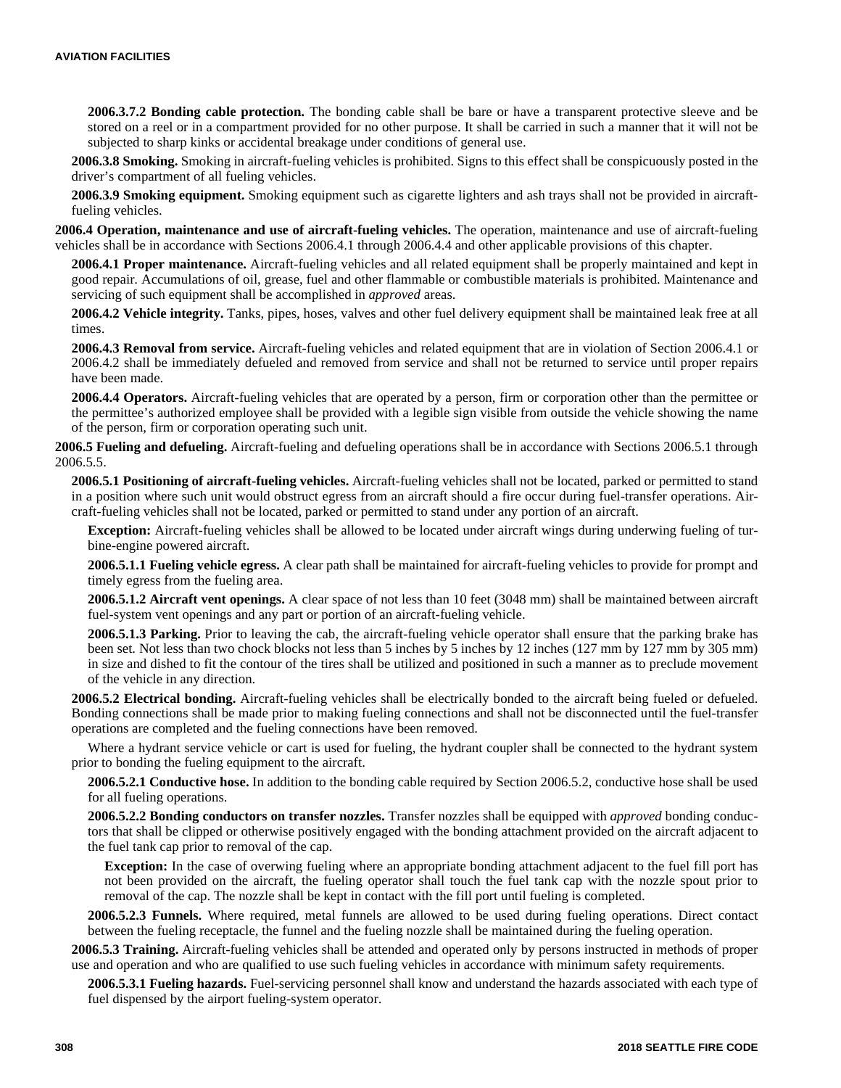**2006.3.7.2 Bonding cable protection.** The bonding cable shall be bare or have a transparent protective sleeve and be stored on a reel or in a compartment provided for no other purpose. It shall be carried in such a manner that it will not be subjected to sharp kinks or accidental breakage under conditions of general use.

**2006.3.8 Smoking.** Smoking in aircraft-fueling vehicles is prohibited. Signs to this effect shall be conspicuously posted in the driver's compartment of all fueling vehicles.

**2006.3.9 Smoking equipment.** Smoking equipment such as cigarette lighters and ash trays shall not be provided in aircraftfueling vehicles.

**2006.4 Operation, maintenance and use of aircraft-fueling vehicles.** The operation, maintenance and use of aircraft-fueling vehicles shall be in accordance with Sections 2006.4.1 through 2006.4.4 and other applicable provisions of this chapter.

**2006.4.1 Proper maintenance.** Aircraft-fueling vehicles and all related equipment shall be properly maintained and kept in good repair. Accumulations of oil, grease, fuel and other flammable or combustible materials is prohibited. Maintenance and servicing of such equipment shall be accomplished in *approved* areas.

**2006.4.2 Vehicle integrity.** Tanks, pipes, hoses, valves and other fuel delivery equipment shall be maintained leak free at all times.

**2006.4.3 Removal from service.** Aircraft-fueling vehicles and related equipment that are in violation of Section 2006.4.1 or 2006.4.2 shall be immediately defueled and removed from service and shall not be returned to service until proper repairs have been made.

**2006.4.4 Operators.** Aircraft-fueling vehicles that are operated by a person, firm or corporation other than the permittee or the permittee's authorized employee shall be provided with a legible sign visible from outside the vehicle showing the name of the person, firm or corporation operating such unit.

**2006.5 Fueling and defueling.** Aircraft-fueling and defueling operations shall be in accordance with Sections 2006.5.1 through 2006.5.5.

**2006.5.1 Positioning of aircraft-fueling vehicles.** Aircraft-fueling vehicles shall not be located, parked or permitted to stand in a position where such unit would obstruct egress from an aircraft should a fire occur during fuel-transfer operations. Aircraft-fueling vehicles shall not be located, parked or permitted to stand under any portion of an aircraft.

**Exception:** Aircraft-fueling vehicles shall be allowed to be located under aircraft wings during underwing fueling of turbine-engine powered aircraft.

**2006.5.1.1 Fueling vehicle egress.** A clear path shall be maintained for aircraft-fueling vehicles to provide for prompt and timely egress from the fueling area.

**2006.5.1.2 Aircraft vent openings.** A clear space of not less than 10 feet (3048 mm) shall be maintained between aircraft fuel-system vent openings and any part or portion of an aircraft-fueling vehicle.

**2006.5.1.3 Parking.** Prior to leaving the cab, the aircraft-fueling vehicle operator shall ensure that the parking brake has been set. Not less than two chock blocks not less than 5 inches by 5 inches by 12 inches (127 mm by 127 mm by 305 mm) in size and dished to fit the contour of the tires shall be utilized and positioned in such a manner as to preclude movement of the vehicle in any direction.

**2006.5.2 Electrical bonding.** Aircraft-fueling vehicles shall be electrically bonded to the aircraft being fueled or defueled. Bonding connections shall be made prior to making fueling connections and shall not be disconnected until the fuel-transfer operations are completed and the fueling connections have been removed.

Where a hydrant service vehicle or cart is used for fueling, the hydrant coupler shall be connected to the hydrant system prior to bonding the fueling equipment to the aircraft.

**2006.5.2.1 Conductive hose.** In addition to the bonding cable required by Section 2006.5.2, conductive hose shall be used for all fueling operations.

**2006.5.2.2 Bonding conductors on transfer nozzles.** Transfer nozzles shall be equipped with *approved* bonding conductors that shall be clipped or otherwise positively engaged with the bonding attachment provided on the aircraft adjacent to the fuel tank cap prior to removal of the cap.

**Exception:** In the case of overwing fueling where an appropriate bonding attachment adjacent to the fuel fill port has not been provided on the aircraft, the fueling operator shall touch the fuel tank cap with the nozzle spout prior to removal of the cap. The nozzle shall be kept in contact with the fill port until fueling is completed.

**2006.5.2.3 Funnels.** Where required, metal funnels are allowed to be used during fueling operations. Direct contact between the fueling receptacle, the funnel and the fueling nozzle shall be maintained during the fueling operation.

**2006.5.3 Training.** Aircraft-fueling vehicles shall be attended and operated only by persons instructed in methods of proper use and operation and who are qualified to use such fueling vehicles in accordance with minimum safety requirements.

**2006.5.3.1 Fueling hazards.** Fuel-servicing personnel shall know and understand the hazards associated with each type of fuel dispensed by the airport fueling-system operator.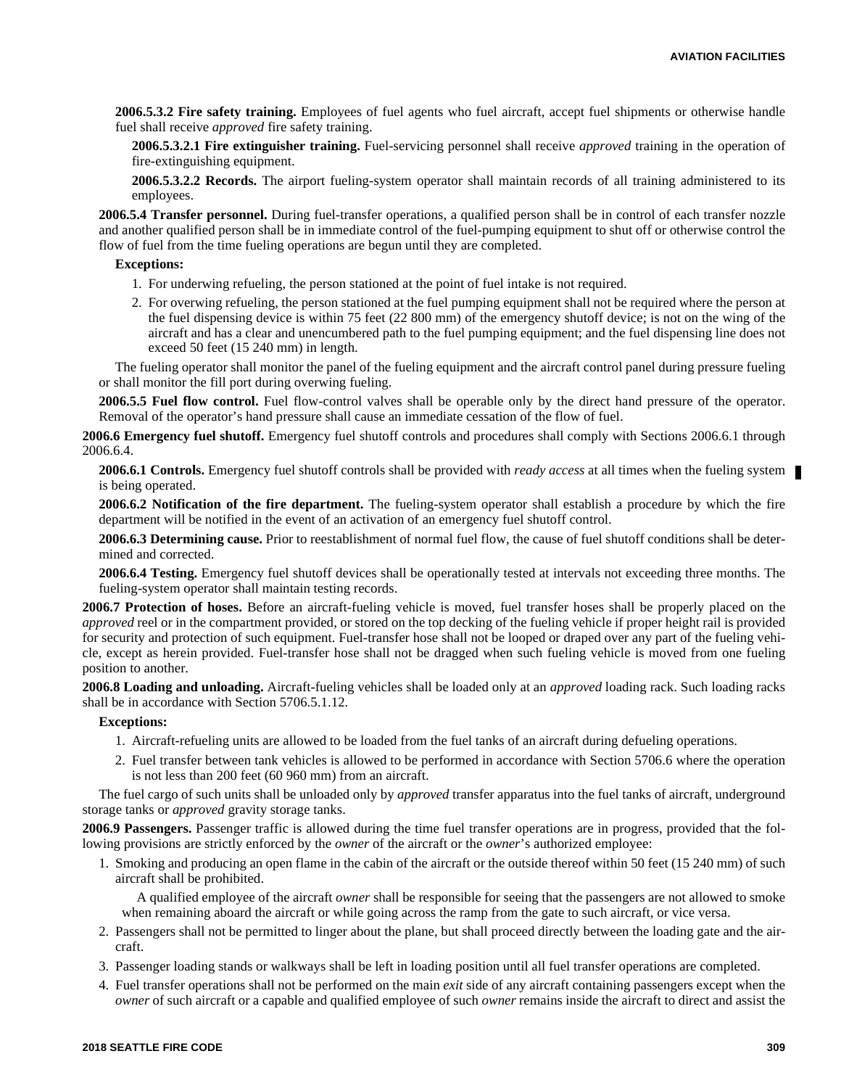**2006.5.3.2 Fire safety training.** Employees of fuel agents who fuel aircraft, accept fuel shipments or otherwise handle fuel shall receive *approved* fire safety training.

**2006.5.3.2.1 Fire extinguisher training.** Fuel-servicing personnel shall receive *approved* training in the operation of fire-extinguishing equipment.

**2006.5.3.2.2 Records.** The airport fueling-system operator shall maintain records of all training administered to its employees.

**2006.5.4 Transfer personnel.** During fuel-transfer operations, a qualified person shall be in control of each transfer nozzle and another qualified person shall be in immediate control of the fuel-pumping equipment to shut off or otherwise control the flow of fuel from the time fueling operations are begun until they are completed.

#### **Exceptions:**

- 1. For underwing refueling, the person stationed at the point of fuel intake is not required.
- 2. For overwing refueling, the person stationed at the fuel pumping equipment shall not be required where the person at the fuel dispensing device is within 75 feet (22 800 mm) of the emergency shutoff device; is not on the wing of the aircraft and has a clear and unencumbered path to the fuel pumping equipment; and the fuel dispensing line does not exceed 50 feet (15 240 mm) in length.

The fueling operator shall monitor the panel of the fueling equipment and the aircraft control panel during pressure fueling or shall monitor the fill port during overwing fueling.

**2006.5.5 Fuel flow control.** Fuel flow-control valves shall be operable only by the direct hand pressure of the operator. Removal of the operator's hand pressure shall cause an immediate cessation of the flow of fuel.

**2006.6 Emergency fuel shutoff.** Emergency fuel shutoff controls and procedures shall comply with Sections 2006.6.1 through 2006.6.4.

**2006.6.1 Controls.** Emergency fuel shutoff controls shall be provided with *ready access* at all times when the fueling system is being operated.

**2006.6.2 Notification of the fire department.** The fueling-system operator shall establish a procedure by which the fire department will be notified in the event of an activation of an emergency fuel shutoff control.

**2006.6.3 Determining cause.** Prior to reestablishment of normal fuel flow, the cause of fuel shutoff conditions shall be determined and corrected.

**2006.6.4 Testing.** Emergency fuel shutoff devices shall be operationally tested at intervals not exceeding three months. The fueling-system operator shall maintain testing records.

**2006.7 Protection of hoses.** Before an aircraft-fueling vehicle is moved, fuel transfer hoses shall be properly placed on the *approved* reel or in the compartment provided, or stored on the top decking of the fueling vehicle if proper height rail is provided for security and protection of such equipment. Fuel-transfer hose shall not be looped or draped over any part of the fueling vehicle, except as herein provided. Fuel-transfer hose shall not be dragged when such fueling vehicle is moved from one fueling position to another.

**2006.8 Loading and unloading.** Aircraft-fueling vehicles shall be loaded only at an *approved* loading rack. Such loading racks shall be in accordance with Section 5706.5.1.12.

#### **Exceptions:**

- 1. Aircraft-refueling units are allowed to be loaded from the fuel tanks of an aircraft during defueling operations.
- 2. Fuel transfer between tank vehicles is allowed to be performed in accordance with Section 5706.6 where the operation is not less than 200 feet (60 960 mm) from an aircraft.

The fuel cargo of such units shall be unloaded only by *approved* transfer apparatus into the fuel tanks of aircraft, underground storage tanks or *approved* gravity storage tanks.

**2006.9 Passengers.** Passenger traffic is allowed during the time fuel transfer operations are in progress, provided that the following provisions are strictly enforced by the *owner* of the aircraft or the *owner*'s authorized employee:

1. Smoking and producing an open flame in the cabin of the aircraft or the outside thereof within 50 feet (15 240 mm) of such aircraft shall be prohibited.

A qualified employee of the aircraft *owner* shall be responsible for seeing that the passengers are not allowed to smoke when remaining aboard the aircraft or while going across the ramp from the gate to such aircraft, or vice versa.

- 2. Passengers shall not be permitted to linger about the plane, but shall proceed directly between the loading gate and the aircraft.
- 3. Passenger loading stands or walkways shall be left in loading position until all fuel transfer operations are completed.
- 4. Fuel transfer operations shall not be performed on the main *exit* side of any aircraft containing passengers except when the *owner* of such aircraft or a capable and qualified employee of such *owner* remains inside the aircraft to direct and assist the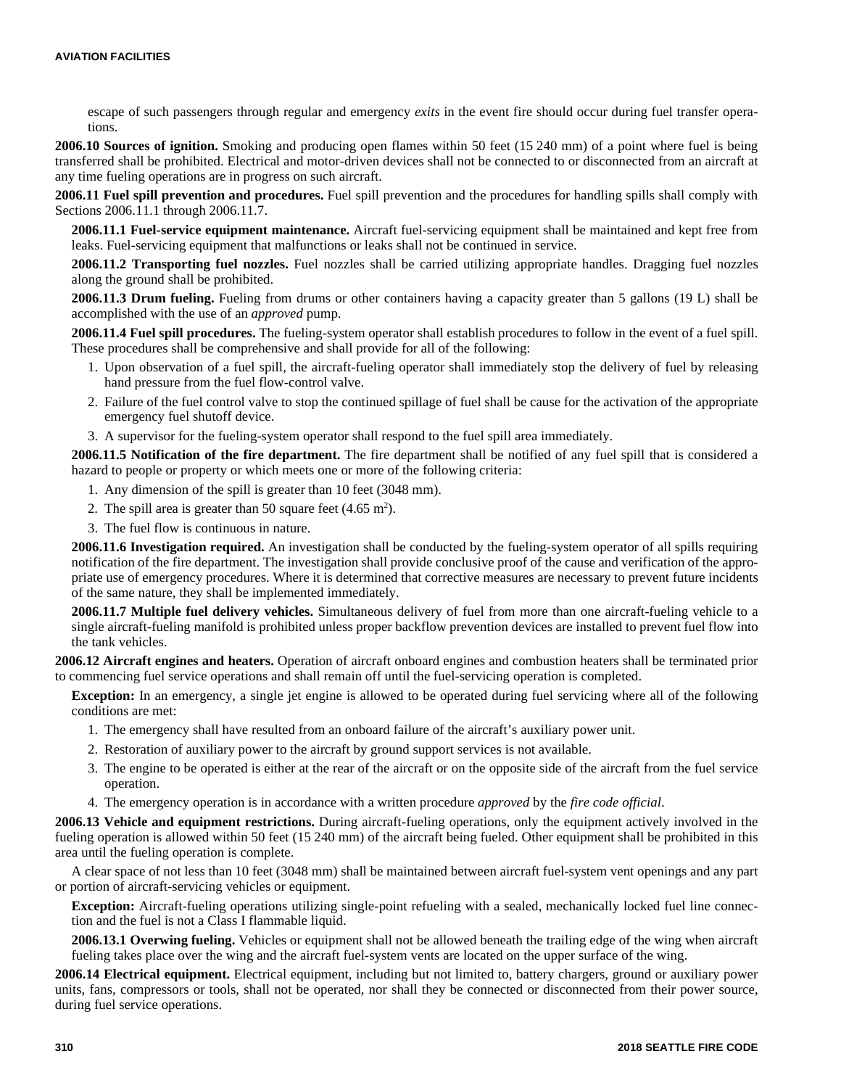escape of such passengers through regular and emergency *exits* in the event fire should occur during fuel transfer operations.

**2006.10 Sources of ignition.** Smoking and producing open flames within 50 feet (15 240 mm) of a point where fuel is being transferred shall be prohibited. Electrical and motor-driven devices shall not be connected to or disconnected from an aircraft at any time fueling operations are in progress on such aircraft.

**2006.11 Fuel spill prevention and procedures.** Fuel spill prevention and the procedures for handling spills shall comply with Sections 2006.11.1 through 2006.11.7.

**2006.11.1 Fuel-service equipment maintenance.** Aircraft fuel-servicing equipment shall be maintained and kept free from leaks. Fuel-servicing equipment that malfunctions or leaks shall not be continued in service.

**2006.11.2 Transporting fuel nozzles.** Fuel nozzles shall be carried utilizing appropriate handles. Dragging fuel nozzles along the ground shall be prohibited.

**2006.11.3 Drum fueling.** Fueling from drums or other containers having a capacity greater than 5 gallons (19 L) shall be accomplished with the use of an *approved* pump.

**2006.11.4 Fuel spill procedures.** The fueling-system operator shall establish procedures to follow in the event of a fuel spill. These procedures shall be comprehensive and shall provide for all of the following:

- 1. Upon observation of a fuel spill, the aircraft-fueling operator shall immediately stop the delivery of fuel by releasing hand pressure from the fuel flow-control valve.
- 2. Failure of the fuel control valve to stop the continued spillage of fuel shall be cause for the activation of the appropriate emergency fuel shutoff device.
- 3. A supervisor for the fueling-system operator shall respond to the fuel spill area immediately.

**2006.11.5 Notification of the fire department.** The fire department shall be notified of any fuel spill that is considered a hazard to people or property or which meets one or more of the following criteria:

- 1. Any dimension of the spill is greater than 10 feet (3048 mm).
- 2. The spill area is greater than 50 square feet  $(4.65 \text{ m}^2)$ .
- 3. The fuel flow is continuous in nature.

**2006.11.6 Investigation required.** An investigation shall be conducted by the fueling-system operator of all spills requiring notification of the fire department. The investigation shall provide conclusive proof of the cause and verification of the appropriate use of emergency procedures. Where it is determined that corrective measures are necessary to prevent future incidents of the same nature, they shall be implemented immediately.

**2006.11.7 Multiple fuel delivery vehicles.** Simultaneous delivery of fuel from more than one aircraft-fueling vehicle to a single aircraft-fueling manifold is prohibited unless proper backflow prevention devices are installed to prevent fuel flow into the tank vehicles.

**2006.12 Aircraft engines and heaters.** Operation of aircraft onboard engines and combustion heaters shall be terminated prior to commencing fuel service operations and shall remain off until the fuel-servicing operation is completed.

**Exception:** In an emergency, a single jet engine is allowed to be operated during fuel servicing where all of the following conditions are met:

- 1. The emergency shall have resulted from an onboard failure of the aircraft's auxiliary power unit.
- 2. Restoration of auxiliary power to the aircraft by ground support services is not available.
- 3. The engine to be operated is either at the rear of the aircraft or on the opposite side of the aircraft from the fuel service operation.
- 4. The emergency operation is in accordance with a written procedure *approved* by the *fire code official*.

**2006.13 Vehicle and equipment restrictions.** During aircraft-fueling operations, only the equipment actively involved in the fueling operation is allowed within 50 feet (15 240 mm) of the aircraft being fueled. Other equipment shall be prohibited in this area until the fueling operation is complete.

A clear space of not less than 10 feet (3048 mm) shall be maintained between aircraft fuel-system vent openings and any part or portion of aircraft-servicing vehicles or equipment.

**Exception:** Aircraft-fueling operations utilizing single-point refueling with a sealed, mechanically locked fuel line connection and the fuel is not a Class I flammable liquid.

**2006.13.1 Overwing fueling.** Vehicles or equipment shall not be allowed beneath the trailing edge of the wing when aircraft fueling takes place over the wing and the aircraft fuel-system vents are located on the upper surface of the wing.

**2006.14 Electrical equipment.** Electrical equipment, including but not limited to, battery chargers, ground or auxiliary power units, fans, compressors or tools, shall not be operated, nor shall they be connected or disconnected from their power source, during fuel service operations.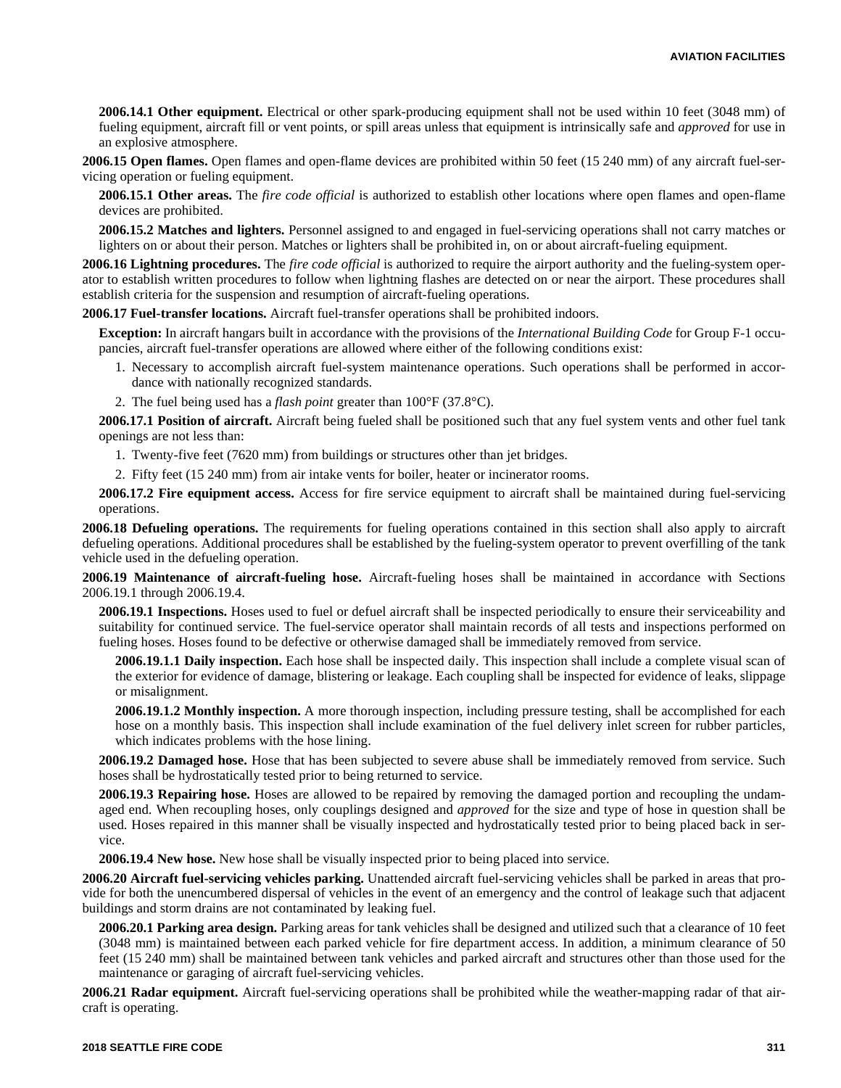**2006.14.1 Other equipment.** Electrical or other spark-producing equipment shall not be used within 10 feet (3048 mm) of fueling equipment, aircraft fill or vent points, or spill areas unless that equipment is intrinsically safe and *approved* for use in an explosive atmosphere.

**2006.15 Open flames.** Open flames and open-flame devices are prohibited within 50 feet (15 240 mm) of any aircraft fuel-servicing operation or fueling equipment.

**2006.15.1 Other areas.** The *fire code official* is authorized to establish other locations where open flames and open-flame devices are prohibited.

**2006.15.2 Matches and lighters.** Personnel assigned to and engaged in fuel-servicing operations shall not carry matches or lighters on or about their person. Matches or lighters shall be prohibited in, on or about aircraft-fueling equipment.

**2006.16 Lightning procedures.** The *fire code official* is authorized to require the airport authority and the fueling-system operator to establish written procedures to follow when lightning flashes are detected on or near the airport. These procedures shall establish criteria for the suspension and resumption of aircraft-fueling operations.

**2006.17 Fuel-transfer locations.** Aircraft fuel-transfer operations shall be prohibited indoors.

**Exception:** In aircraft hangars built in accordance with the provisions of the *International Building Code* for Group F-1 occupancies, aircraft fuel-transfer operations are allowed where either of the following conditions exist:

- 1. Necessary to accomplish aircraft fuel-system maintenance operations. Such operations shall be performed in accordance with nationally recognized standards.
- 2. The fuel being used has a *flash point* greater than 100°F (37.8°C).

**2006.17.1 Position of aircraft.** Aircraft being fueled shall be positioned such that any fuel system vents and other fuel tank openings are not less than:

- 1. Twenty-five feet (7620 mm) from buildings or structures other than jet bridges.
- 2. Fifty feet (15 240 mm) from air intake vents for boiler, heater or incinerator rooms.

**2006.17.2 Fire equipment access.** Access for fire service equipment to aircraft shall be maintained during fuel-servicing operations.

**2006.18 Defueling operations.** The requirements for fueling operations contained in this section shall also apply to aircraft defueling operations. Additional procedures shall be established by the fueling-system operator to prevent overfilling of the tank vehicle used in the defueling operation.

**2006.19 Maintenance of aircraft-fueling hose.** Aircraft-fueling hoses shall be maintained in accordance with Sections 2006.19.1 through 2006.19.4.

**2006.19.1 Inspections.** Hoses used to fuel or defuel aircraft shall be inspected periodically to ensure their serviceability and suitability for continued service. The fuel-service operator shall maintain records of all tests and inspections performed on fueling hoses. Hoses found to be defective or otherwise damaged shall be immediately removed from service.

**2006.19.1.1 Daily inspection.** Each hose shall be inspected daily. This inspection shall include a complete visual scan of the exterior for evidence of damage, blistering or leakage. Each coupling shall be inspected for evidence of leaks, slippage or misalignment.

**2006.19.1.2 Monthly inspection.** A more thorough inspection, including pressure testing, shall be accomplished for each hose on a monthly basis. This inspection shall include examination of the fuel delivery inlet screen for rubber particles, which indicates problems with the hose lining.

**2006.19.2 Damaged hose.** Hose that has been subjected to severe abuse shall be immediately removed from service. Such hoses shall be hydrostatically tested prior to being returned to service.

**2006.19.3 Repairing hose.** Hoses are allowed to be repaired by removing the damaged portion and recoupling the undamaged end. When recoupling hoses, only couplings designed and *approved* for the size and type of hose in question shall be used. Hoses repaired in this manner shall be visually inspected and hydrostatically tested prior to being placed back in service.

**2006.19.4 New hose.** New hose shall be visually inspected prior to being placed into service.

**2006.20 Aircraft fuel-servicing vehicles parking.** Unattended aircraft fuel-servicing vehicles shall be parked in areas that provide for both the unencumbered dispersal of vehicles in the event of an emergency and the control of leakage such that adjacent buildings and storm drains are not contaminated by leaking fuel.

**2006.20.1 Parking area design.** Parking areas for tank vehicles shall be designed and utilized such that a clearance of 10 feet (3048 mm) is maintained between each parked vehicle for fire department access. In addition, a minimum clearance of 50 feet (15 240 mm) shall be maintained between tank vehicles and parked aircraft and structures other than those used for the maintenance or garaging of aircraft fuel-servicing vehicles.

**2006.21 Radar equipment.** Aircraft fuel-servicing operations shall be prohibited while the weather-mapping radar of that aircraft is operating.